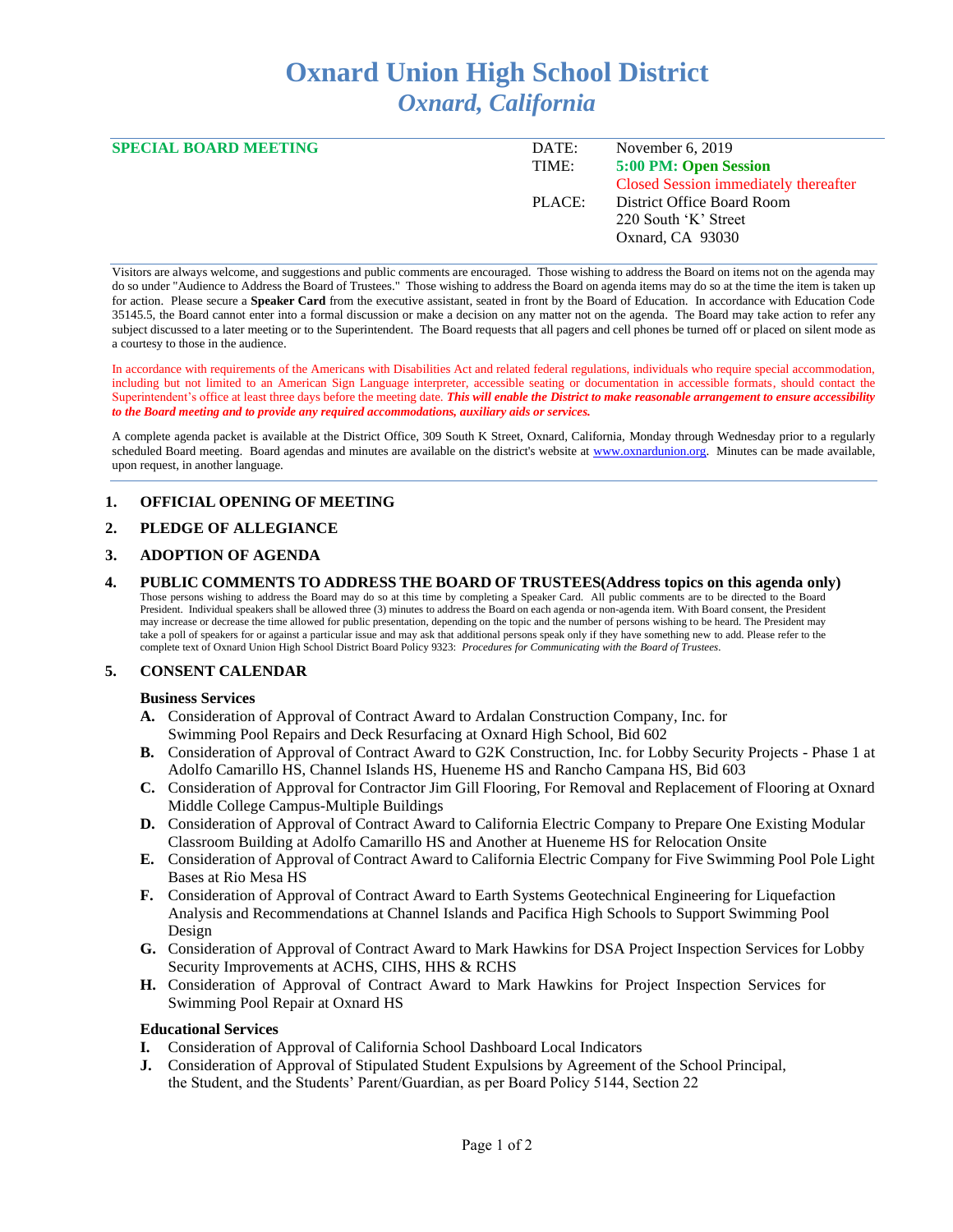# **Oxnard Union High School District** *Oxnard, California*

| <b>SPECIAL BOARD MEETING</b> | DATE:  | November $6, 2019$                    |
|------------------------------|--------|---------------------------------------|
|                              | TIME:  | 5:00 PM: Open Session                 |
|                              |        | Closed Session immediately thereafter |
|                              | PLACE: | District Office Board Room            |
|                              |        | 220 South 'K' Street                  |
|                              |        | Oxnard, CA 93030                      |
|                              |        |                                       |

Visitors are always welcome, and suggestions and public comments are encouraged. Those wishing to address the Board on items not on the agenda may do so under "Audience to Address the Board of Trustees." Those wishing to address the Board on agenda items may do so at the time the item is taken up for action. Please secure a **Speaker Card** from the executive assistant, seated in front by the Board of Education. In accordance with Education Code 35145.5, the Board cannot enter into a formal discussion or make a decision on any matter not on the agenda. The Board may take action to refer any subject discussed to a later meeting or to the Superintendent. The Board requests that all pagers and cell phones be turned off or placed on silent mode as a courtesy to those in the audience.

In accordance with requirements of the Americans with Disabilities Act and related federal regulations, individuals who require special accommodation, including but not limited to an American Sign Language interpreter, accessible seating or documentation in accessible formats, should contact the Superintendent's office at least three days before the meeting date. *This will enable the District to make reasonable arrangement to ensure accessibility to the Board meeting and to provide any required accommodations, auxiliary aids or services.* 

A complete agenda packet is available at the District Office, 309 South K Street, Oxnard, California, Monday through Wednesday prior to a regularly scheduled Board meeting. Board agendas and minutes are available on the district's website at [www.oxnardunion.org.](http://www.oxnardunion.org/)Minutes can be made available, upon request, in another language.

# **1. OFFICIAL OPENING OF MEETING**

# **2. PLEDGE OF ALLEGIANCE**

# **3. ADOPTION OF AGENDA**

**4. PUBLIC COMMENTS TO ADDRESS THE BOARD OF TRUSTEES(Address topics on this agenda only)** Those persons wishing to address the Board may do so at this time by completing a Speaker Card. All public comments are to be directed to the Board President. Individual speakers shall be allowed three (3) minutes to address the Board on each agenda or non-agenda item. With Board consent, the President may increase or decrease the time allowed for public presentation, depending on the topic and the number of persons wishing to be heard. The President may take a poll of speakers for or against a particular issue and may ask that additional persons speak only if they have something new to add. Please refer to the complete text of Oxnard Union High School District Board Policy 9323: *Procedures for Communicating with the Board of Trustees.*

# **5. CONSENT CALENDAR**

#### **Business Services**

- **A.** Consideration of Approval of Contract Award to Ardalan Construction Company, Inc. for Swimming Pool Repairs and Deck Resurfacing at Oxnard High School, Bid 602
- **B.** Consideration of Approval of Contract Award to G2K Construction, Inc. for Lobby Security Projects Phase 1 at Adolfo Camarillo HS, Channel Islands HS, Hueneme HS and Rancho Campana HS, Bid 603
- **C.** Consideration of Approval for Contractor Jim Gill Flooring, For Removal and Replacement of Flooring at Oxnard Middle College Campus-Multiple Buildings
- **D.** Consideration of Approval of Contract Award to California Electric Company to Prepare One Existing Modular Classroom Building at Adolfo Camarillo HS and Another at Hueneme HS for Relocation Onsite
- **E.** Consideration of Approval of Contract Award to California Electric Company for Five Swimming Pool Pole Light Bases at Rio Mesa HS
- **F.** Consideration of Approval of Contract Award to Earth Systems Geotechnical Engineering for Liquefaction Analysis and Recommendations at Channel Islands and Pacifica High Schools to Support Swimming Pool Design
- **G.** Consideration of Approval of Contract Award to Mark Hawkins for DSA Project Inspection Services for Lobby Security Improvements at ACHS, CIHS, HHS & RCHS
- **H.** Consideration of Approval of Contract Award to Mark Hawkins for Project Inspection Services for Swimming Pool Repair at Oxnard HS

#### **Educational Services**

- **I.** Consideration of Approval of California School Dashboard Local Indicators
- **J.** Consideration of Approval of Stipulated Student Expulsions by Agreement of the School Principal, the Student, and the Students' Parent/Guardian, as per Board Policy 5144, Section 22